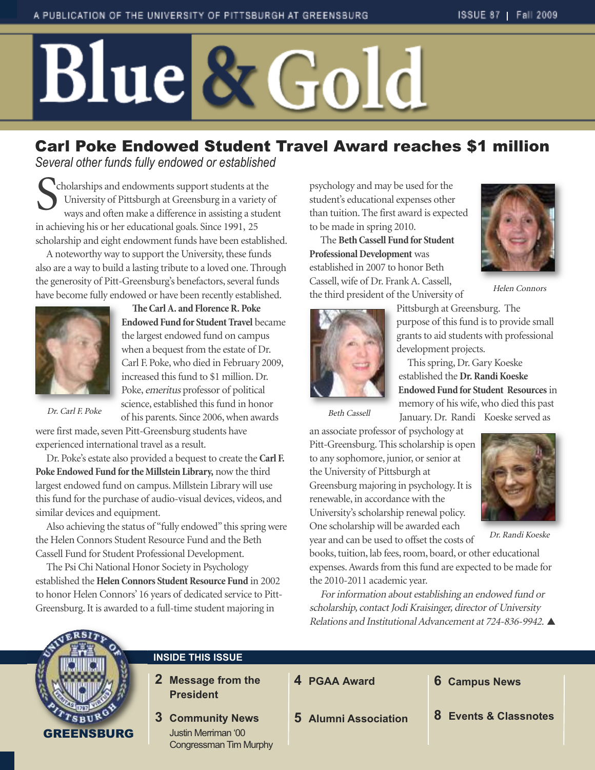# Blue & Gold

# Carl Poke Endowed Student Travel Award reaches \$1 million

*Several other funds fully endowed or established*

Cholarships and endowments support students at the<br>University of Pittsburgh at Greensburg in a variety<br>ways and often make a difference in assisting a student University of Pittsburgh at Greensburg in a variety of ways and often make a difference in assisting a student in achieving his or her educational goals. Since 1991, 25 scholarship and eight endowment funds have been established.

A noteworthy way to support the University, these funds also are a way to build a lasting tribute to a loved one.Through the generosity of Pitt-Greensburg's benefactors, several funds have become fully endowed or have been recently established.



**eCarlA. and FlorenceR. Poke Endowed Fund for Student Travel** became the largest endowed fund on campus when a bequest from the estate of Dr. Carl F. Poke,who died in February 2009, increased this fund to \$1 million. Dr. Poke, emeritus professor of political science, established this fund in honor of his parents. Since 2006,when awards

Dr. Carl F. Poke

were first made, seven Pitt-Greensburg students have experienced international travel as a result.

Dr. Poke's estate also provided a bequest to create the **Carl F. Poke Endowed Fund forthe Millstein Library,** now the third largest endowed fund on campus. Millstein Library will use this fund for the purchase of audio-visual devices, videos, and similar devices and equipment.

Also achieving the status of "fully endowed" this spring were the Helen Connors Student Resource Fund and the Beth Cassell Fund for Student Professional Development.

The Psi Chi National Honor Society in Psychology established the **HelenConnors StudentResource Fund** in 2002 to honor Helen Connors' 16 years of dedicated service to Pitt-Greensburg.It is awarded to a full-time student majoring in

psychology and may be used for the student's educational expenses other than tuition.The first award is expected to be made in spring 2010.

The **BethCassell Fund for Student Professional Development** was established in 2007 to honor Beth Cassell,wife of Dr. FrankA.Cassell, the third president of the University of



Helen Connors



Pittsburgh at Greensburg. The purpose of this fund is to provide small grants to aid students with professional development projects.

This spring, Dr. Gary Koeske established the **Dr.RandiKoeske Endowed Fund for Student Resources**in memory of his wife,who died this past January. Dr. Randi Koeske served as

Beth Cassell

an associate professor of psychology at Pitt-Greensburg.This scholarship is open to any sophomore, junior, or senior at the University of Pittsburgh at Greensburg majoring in psychology.It is renewable, in accordance with the University's scholarship renewal policy. One scholarship will be awarded each year and can be used to offset the costs of



Dr. Randi Koeske

books, tuition, lab fees, room, board, or other educational expenses.Awards from this fund are expected to be made for the 2010-2011 academic year.

For information about establishing an endowed fund or scholarship, contact Jodi Kraisinger, director of University Relations and Institutional Advancement at 724-836-9942. ▲



# **INSIDE THIS ISSUE**

- **2 Message from the President**
- **3 Community News** Justin Merriman '00 Congressman Tim Murphy

**4 PGAA Award**

- **6 Campus News**
- **5 Alumni Association**

**8 Events & Classnotes**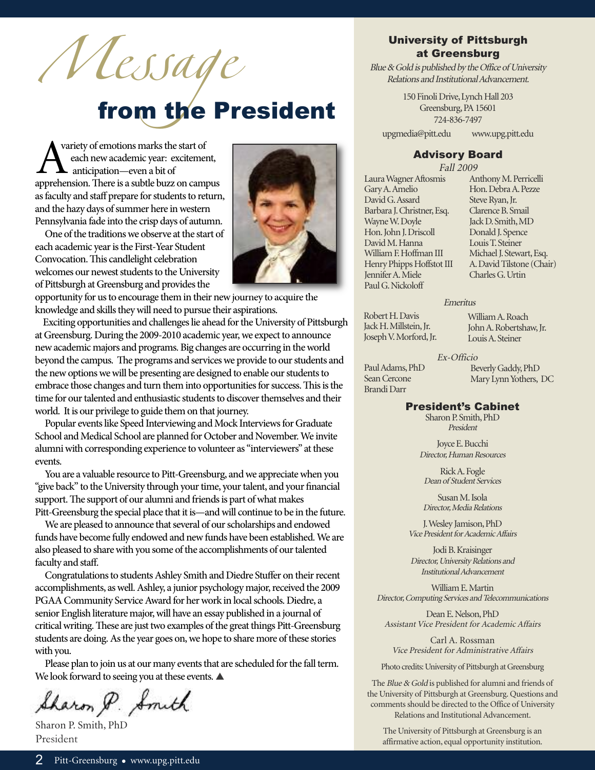Message<br>from the President

A variety of emotions marks the start of<br>each new academic year: excitement,<br>anticipation—even a bit of<br>apprehension. There is a subtle buzz on campus variety of emotions marks the start of each newacademic year: excitement, anticipation—even a bit of as faculty and staff prepare for students to return, and the hazy days of summer here in western Pennsylvania fade into the crisp days of autumn.

One of the traditions we observe at the start of each academic year is the First-Year Student Convocation. This candlelight celebration welcomes our newest students to the University of Pittsburgh at Greensburg and provides the



opportunity for us to encourage them in their new journey to acquire the knowledge and skills they will need to pursue their aspirations.

Exciting opportunities and challenges lie ahead for the University of Pittsburgh at Greensburg. During the 2009-2010 academic year, we expect to announce newacademic majors and programs.Big changes are occurring in theworld beyond the campus. The programs and services we provide to our students and the new options we will be presenting are designed to enable our students to embrace those changes and turn them into opportunities for success. This is the time for our talented and enthusiastic students to discover themselves and their world. It is our privilege to guide them on that journey.

Popular events like Speed Interviewing and Mock Interviews for Graduate School and Medical School are planned for October and November. We invite alumni with corresponding experience to volunteer as "interviewers" at these events.

You are a valuable resource to Pitt-Greensburg, and we appreciate when you "give back" to the University through your time, your talent, and your financial support. The support of our alumni and friends is part of what makes Pitt-Greensburg the special place that it is—and will continue to be in the future.

We are pleased to announce that several of our scholarships and endowed funds have become fully endowed and new funds have been established. We are also pleased to share with you some of the accomplishments of our talented faculty and staff.

Congratulations to students Ashley Smith and Diedre Stuffer on their recent accomplishments, as well. Ashley, a junior psychology major, received the 2009 PGAA Community Service Award for her work in local schools. Diedre, a senior English literature major, will have an essay published in a journal of critical writing. These are just two examples of the great things Pitt-Greensburg students are doing. As the year goes on, we hope to share more of these stories with you.

Please plan to join us at our many events that are scheduled for the fall term. We look forward to seeing you at these events.  $\blacktriangle$ 

Sharon P. Smith

Sharon P. Smith, PhD President

## University of Pittsburgh at Greensburg

Blue  $\&$  Gold is published by the Office of University Relations and Institutional Advancement.

> 150 Finoli Drive, Lynch Hall 203 Greensburg, PA 15601 724-836-7497

upgmedia@pitt.edu www.upg.pitt.edu

#### Advisory Board

Fall 2009

LauraWagnerAftosmis GaryA.Amelio David G. Assard Barbara J.Christner,Esq. WayneW.Doyle Hon. John J. Driscoll DavidM.Hanna William F. Hoffman III Henry Phipps Hoffstot III JenniferA.Miele PaulG.Nickoloff

AnthonyM.Perricelli Hon.DebraA.Pezze Steve Ryan, Jr. Clarence B. Smail JackD.Smith,MD Donald J. Spence LouisT.Steiner Michael J. Stewart, Esq. A.DavidTilstone (Chair) Charles G. Urtin

#### Emeritus

Robert H. Davis Jack H. Millstein, Jr. JosephV.Morford,Jr. WilliamA.Roach John A. Robertshaw, Jr. LouisA.Steiner

#### Ex-Officio

Paul Adams, PhD Sean Cercone BrandiDarr

BeverlyGaddy,PhD MaryLynnYothers, DC

#### President's Cabinet

Sharon P. Smith, PhD President

Joyce E. Bucchi Director, Human Resources

RickA.Fogle Dean of Student Services

SusanM.Isola Director, Media Relations

J.Wesley Jamison,PhD Vice President for Academic Affairs

JodiB.Kraisinger Director, University Relations and InstitutionalAdvancement

WilliamE.Martin Director, Computing Services and Telecommunications

Dean E. Nelson, PhD Assistant Vice President for Academic Affairs

Carl A. Rossman Vice President for Administrative Affairs

Photo credits: University of Pittsburgh at Greensburg

The Blue & Gold is published for alumni and friends of the University of Pittsburgh at Greensburg. Questions and comments should be directed to the Office of University Relations and Institutional Advancement.

The University of Pittsburgh at Greensburg is an affirmative action, equal opportunity institution.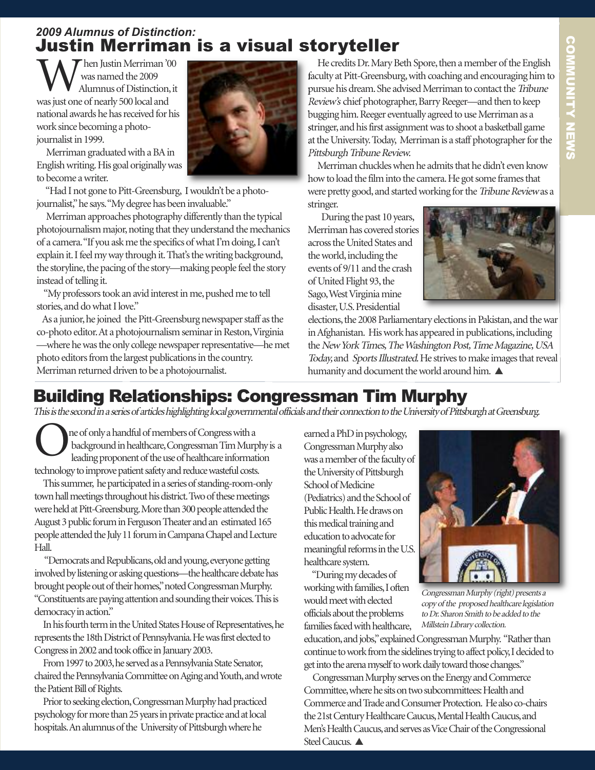# *2009 Alumnus of Distinction:* Justin Merriman is a visual storyteller

Then Justin Merriman '00 was named the 2009 Alumnus of Distinction, it wasjust one of nearly 500 local and national awards he has received for his work since becoming a photojournalist in 1999.

Merriman graduated with a BA in Englishwriting.His goal originallywas to become awriter.

"Had I not gone to Pitt-Greensburg, I wouldn't be a photojournalist," he says. "My degree has been invaluable."

Merriman approaches photography differently than the typical photojournalism major, noting that they understand the mechanics of a camera. "If you ask me the specifics of what I'm doing, I can't explain it. I feel my way through it. That's the writing background, the storyline, the pacing of the story—making people feel the story instead of telling it.

"My professors took an avid interest in me, pushed me to tell stories, and do what I love."

As a junior, he joined the Pitt-Greensburg newspaper staff as the co-photo editor. At a photojournalism seminar in Reston, Virginia

—where he was the only college newspaper representative—he met photo editors from the largest publications in the country. Merriman returned driven to be a photojournalist.

He credits Dr. Mary Beth Spore, then a member of the English faculty at Pitt-Greensburg, with coaching and encouraging him to pursue his dream. She advised Merriman to contact the Tribune Review's chief photographer, Barry Reeger—and then to keep bugging him. Reeger eventually agreed to use Merriman as a stringer, and his first assignment was to shoot a basketball game at the University. Today, Merriman is a staff photographer for the Pittsburgh Tribune Review.

Merriman chuckles when he admits that he didn't even know how to load the film into the camera. He got some frames that were pretty good, and started working for the Tribune Reviewas a stringer.

During the past 10 years, Merriman has covered stories across the United States and the world, including the events of 9/11 and the crash of United Flight 93, the Sago, West Virginia mine disaster,U.S.Presidential



elections, the 2008 Parliamentary elections in Pakistan, and the war in Afghanistan. His work has appeared in publications, including the New York Times, The Washington Post, Time Magazine, USA Today, and Sports Illustrated. He strives to make images that reveal humanity and document the world around him.  $\blacktriangle$ 

# Building Relationships: Congressman Tim Murphy

This is the second in a series of articles highlighting local governmental officials and their connection to the University of Pittsburgh at Greensburg.

ne of only a handful of members of Congress with a background in healthcare, Congressman Tim Murphy is a leading proponent of the use of healthcare information technology to improve patient safety and reduce wasteful costs.

This summer, he participated in a series of standing-room-only town hall meetings throughout his district. Two of these meetings were held at Pitt-Greensburg. More than 300 people attended the August 3 public forum in Ferguson Theater and an estimated 165 people attended the July 11 forum in Campana Chapel and Lecture Hall.

"Democrats and Republicans, old and young, everyone getting involved by listening or asking questions—the healthcare debate has brought people out of their homes," noted Congressman Murphy. "Constituents are paying attention and sounding their voices. This is democracy in action."

In his fourth term in the United States House of Representatives, he represents the 18th District of Pennsylvania. He was first elected to Congress in 2002 and took office in January 2003.

From 1997 to 2003, he served as a Pennsylvania State Senator, chaired the Pennsylvania Committee on Aging and Youth, and wrote the Patient Bill of Rights.

Prior to seeking election, Congressman Murphy had practiced psychology for more than 25 years in private practice and at local hospitals. An alumnus of the University of Pittsburgh where he

earned a PhD in psychology, Congressman Murphy also was a member of the faculty of the University of Pittsburgh School of Medicine (Pediatrics) and the School of Public Health. He draws on this medical training and education to advocate for meaningful reforms in the U.S. healthcare system.

"Duringmydecadesof

working with families, I often would meet with elected officials about the problems families faced with healthcare,

Congressman Murphy (right) presents a copy of the proposed healthcare legislation to Dr. Sharon Smith to be added to the Millstein Library collection.

education, and jobs," explained Congressman Murphy. "Rather than continue to work from the sidelines trying to affect policy, I decided to get into the arena myself to work daily toward those changes."

Congressman Murphy serves on the Energy and Commerce Committee, where he sits on two subcommittees: Health and Commerce and Trade and Consumer Protection. He also co-chairs the 21st Century Healthcare Caucus, Mental Health Caucus, and Men's Health Caucus, and serves as Vice Chair of the Congressional Steel Caucus.

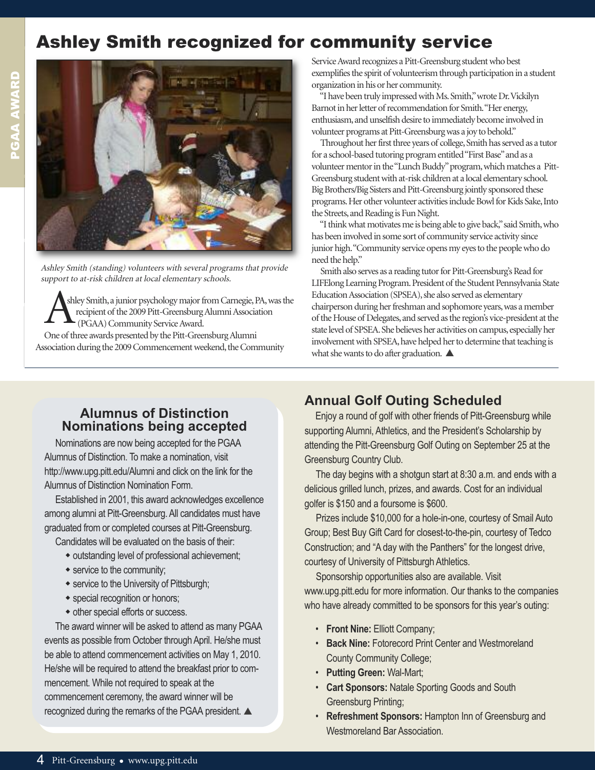# Ashley Smith recognized for community service



Ashley Smith (standing) volunteers with several programs that provide support to at-risk children at local elementary schools.

shley Smith, a junior psychology major from Carnegie, PA, was the recipient of the 2009 Pitt-Greensburg Alumni Association (PGAA) Community Service Award. One of three awards presented by the Pitt-Greensburg Alumni Association during the 2009 Commencement weekend, the Community

Service Award recognizes a Pitt-Greensburg student who best exemplifies the spirit of volunteerism through participation in a student organization in his or her community.

"I have been truly impressed with Ms. Smith," wrote Dr. Vickilyn Barnot in her letter of recommendation for Smith. "Her energy, enthusiasm, and unselfish desire to immediately become involved in volunteer programs at Pitt-Greensburg was a joy to behold."

Throughout her first three years of college, Smith has served as a tutor for a school-based tutoring program entitled "First Base" and as a volunteer mentor in the "Lunch Buddy" program, which matches a Pitt-Greensburg student with at-risk children at a local elementary school. Big Brothers/Big Sisters and Pitt-Greensburg jointly sponsored these programs. Her other volunteer activities include Bowl for Kids Sake, Into the Streets, and Reading is Fun Night.

"I think what motivates me is being able to give back," said Smith, who has been involved in some sort of community service activity since junior high. "Community service opens my eyes to the people who do need the help."

Smith also serves as a reading tutor for Pitt-Greensburg's Read for LIFElong Learning Program. President of the Student Pennsylvania State Education Association (SPSEA), she also served as elementary chairperson during her freshman and sophomore years, was a member of the House of Delegates, and served as the region's vice-president at the state level of SPSEA. She believes her activities on campus, especially her involvement with SPSEA, have helped her to determine that teaching is what she wants to do after graduation.  $\blacktriangle$ 

# **Alumnus of Distinction Nominations being accepted**

Nominations are now being accepted for the PGAA Alumnus of Distinction. To make a nomination, visit http://www.upg.pitt.edu/Alumni and click on the link for the Alumnus of Distinction Nomination Form.

Established in 2001, this award acknowledges excellence among alumni at Pitt-Greensburg. All candidates must have graduated from or completed courses at Pitt-Greensburg.

Candidates will be evaluated on the basis of their:

- outstanding level of professional achievement;
- service to the community;
- service to the University of Pittsburgh;
- special recognition or honors;
- other special efforts or success.

The award winner will be asked to attend as many PGAA events as possible from October through April. He/she must be able to attend commencement activities on May 1, 2010. He/she will be required to attend the breakfast prior to commencement. While not required to speak at the commencement ceremony, the award winner will be recognized during the remarks of the PGAA president.  $\blacktriangle$ 

# **Annual Golf Outing Scheduled**

Enjoy a round of golf with other friends of Pitt-Greensburg while supporting Alumni, Athletics, and the President's Scholarship by attending the Pitt-Greensburg Golf Outing on September 25 at the Greensburg Country Club.

The day begins with a shotgun start at 8:30 a.m. and ends with a delicious grilled lunch, prizes, and awards. Cost for an individual golfer is \$150 and a foursome is \$600.

Prizes include \$10,000 for a hole-in-one, courtesy of Smail Auto Group; Best Buy Gift Card for closest-to-the-pin, courtesy of Tedco Construction; and "A day with the Panthers" for the longest drive, courtesy of University of Pittsburgh Athletics.

Sponsorship opportunities also are available. Visit www.upg.pitt.edu for more information. Our thanks to the companies who have already committed to be sponsors for this year's outing:

- **Front Nine:** Elliott Company;
- **Back Nine:** Fotorecord Print Center and Westmoreland County Community College;
- **Putting Green:** Wal-Mart;
- **Cart Sponsors:** Natale Sporting Goods and South Greensburg Printing;
- **Refreshment Sponsors:** Hampton Inn of Greensburg and Westmoreland Bar Association.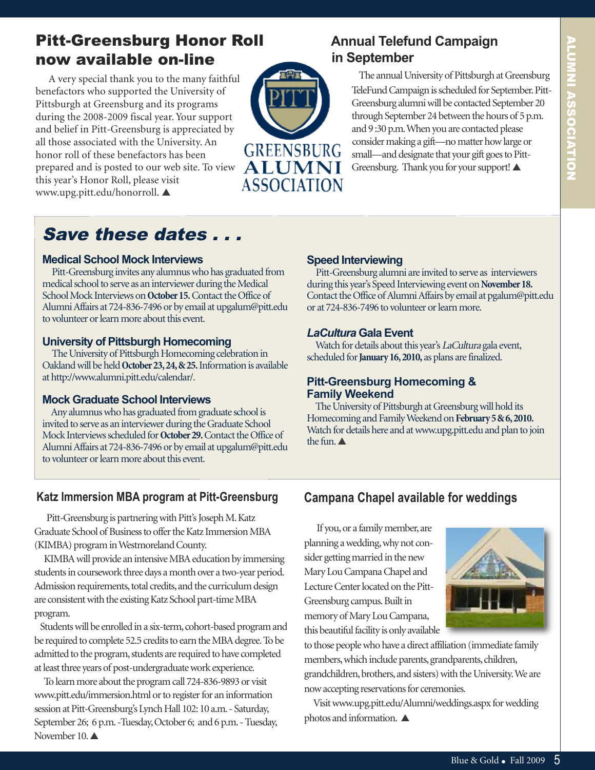# Pitt-Greensburg Honor Roll now available on-line

A very special thank you to the many faithful benefactors who supported the University of Pittsburgh at Greensburg and its programs during the 2008-2009 fiscal year. Your support and belief in Pitt-Greensburg is appreciated by all those associated with the University. An honor roll of these benefactors has been prepared and is posted to our web site. To view this year's Honor Roll, please visit www.upg.pitt.edu/honorroll.



# **Annual Telefund Campaign in September**

The annual University of Pittsburgh at Greensburg TeleFund Campaign is scheduled for September. Pitt-Greensburg alumni will be contacted September 20 through September 24 between the hours of 5 p.m. and 9:30 p.m. When you are contacted please consider making a gift-no matter how large or small—and designate that your gift goes to Pitt-Greensburg. Thank you for your support!

# Save these dates . . .

#### **Medical School Mock Interviews**

Pitt-Greensburg invites any alumnus who has graduated from medical school to serve as an interviewer during the Medical School Mock Interviews on October 15. Contact the Office of Alumni Affairs at 724-836-7496 or by email at upgalum@pitt.edu to volunteer or learn more about this event.

#### **University of Pittsburgh Homecoming**

The University of Pittsburgh Homecoming celebration in Oakland will be held October 23, 24, & 25. Information is available athttp://www.alumni.pitt.edu/calendar/.

## **Mock Graduate School Interviews**

Any alumnus who has graduated from graduate school is invited to serve as an interviewer during the Graduate School Mock Interviews scheduled for **October 29.** Contact the Office of Alumni Affairs at 724-836-7496 or by email at upgalum@pitt.edu to volunteer or learn more about this event.

# **Speed Interviewing**

Pitt-Greensburg alumni are invited to serve as interviewers during this year's Speed Interviewing event on November 18. Contact the Office of Alumni Affairs by email at pgalum@pitt.edu or at 724-836-7496 to volunteer or learn more.

# *LaCultura* **Gala Event**

Watch for details about this year's LaCultura gala event, scheduled for **January 16, 2010**, as plans are finalized.

## **Pitt-Greensburg Homecoming & Family Weekend**

The University of Pittsburgh at Greensburg will hold its Homecoming and Family Weekend on February 5 & 6, 2010. Watch for details here and at www.upg.pitt.edu and plan to join the fun.  $\triangle$ 

# **Katz Immersion MBA program at Pitt-Greensburg**

Pitt-Greensburg is partnering with Pitt's Joseph M. Katz Graduate School of Business to offer the Katz Immersion MBA (KIMBA) program in Westmoreland County.

KIMBA will provide an intensive MBA education by immersing students in coursework three days a month over a two-year period. Admission requirements, total credits, and the curriculum design are consistent with the existing Katz School part-time MBA program.

Students will be enrolled in a six-term, cohort-based program and be required to complete 52.5 credits to earn the MBA degree. To be admitted to the program, students are required to have completed at least three years of post-undergraduate work experience.

To learn more about the program call 724-836-9893 or visit www.pitt.edu/immersion.html or to register for an information session at Pitt-Greensburg's Lynch Hall 102: 10 a.m. - Saturday, September 26; 6 p.m. - Tuesday, October 6; and 6 p.m. - Tuesday, November 10. $\triangle$ 

# **Campana Chapel available for weddings**

If you, or a family member, are planning awedding,whynot consider getting married in the new MaryLouCampanaChapel and Lecture Center located on the Pitt-Greensburg campus. Built in memory of MaryLouCampana, this beautiful facility is only available



to those people who have a direct affiliation (immediate family members, which include parents, grandparents, children, grandchildren, brothers, and sisters) with the University. We are now accepting reservations for ceremonies.

Visitwww.upg.pitt.edu/Alumni/weddings.aspx forwedding photos and information.  $\blacktriangle$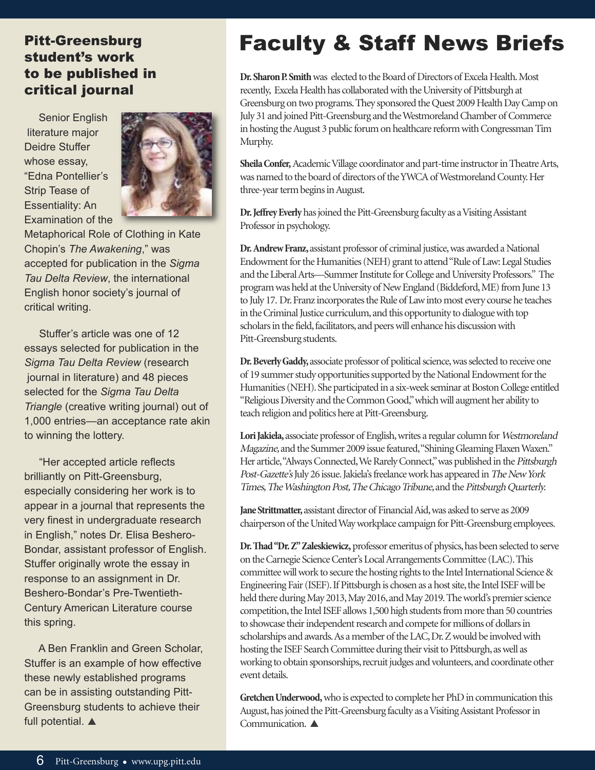# Pitt-Greensburg student's work to be published in critical journal

Senior English literature major Deidre Stuffer whose essay, "Edna Pontellier's Strip Tease of Essentiality: An Examination of the



Metaphorical Role of Clothing in Kate Chopin's *The Awakening*," was accepted for publication in the *Sigma Tau Delta Review*, the international English honor society's journal of critical writing.

Stuffer's article was one of 12 essays selected for publication in the *Sigma Tau Delta Review* (research journal in literature) and 48 pieces selected for the *Sigma Tau Delta Triangle* (creative writing journal) out of 1,000 entries—an acceptance rate akin to winning the lottery.

"Her accepted article reflects brilliantly on Pitt-Greensburg, especially considering her work is to appear in a journal that represents the very finest in undergraduate research in English," notes Dr. Elisa Beshero-Bondar, assistant professor of English. Stuffer originally wrote the essay in response to an assignment in Dr. Beshero-Bondar's Pre-Twentieth-Century American Literature course this spring.

A Ben Franklin and Green Scholar, Stuffer is an example of how effective these newly established programs can be in assisting outstanding Pitt-Greensburg students to achieve their full potential.  $\blacktriangle$ 

# Faculty & Staff News Briefs

**Dr. Sharon P. Smith** was elected to the Board of Directors of Excela Health. Most recently, Excela Health has collaborated with the University of Pittsburgh at Greensburg on two programs. They sponsored the Quest 2009 Health Day Camp on July 31 and joined Pitt-Greensburg and the Westmoreland Chamber of Commerce in hosting the August 3 public forum on healthcare reform with Congressman Tim Murphy.

Sheila Confer, Academic Village coordinator and part-time instructor in Theatre Arts, was named to the board of directors of the YWCA of Westmoreland County. Her three-year term begins in August.

**Dr. Jeffrey Everly** has joined the Pitt-Greensburg faculty as a Visiting Assistant Professor in psychology.

**Dr. Andrew Franz,** assistant professor of criminal justice, was awarded a National Endowment for the Humanities (NEH) grant to attend "Rule of Law: Legal Studies and the Liberal Arts—Summer Institute for College and University Professors." The program was held at the University of New England (Biddeford, ME) from June 13 to July 17. Dr. Franz incorporates the Rule of Law into most every course he teaches in the Criminal Justice curriculum, and this opportunity to dialogue with top scholars in the field, facilitators, and peers will enhance his discussion with Pitt-Greensburg students.

**Dr. Beverly Gaddy,** associate professor of political science, was selected to receive one of 19 summer study opportunities supported by the National Endowment for the Humanities (NEH). She participated in a six-week seminar at Boston College entitled "Religious Diversity and the Common Good," which will augment her ability to teach religion and politics here at Pitt-Greensburg.

Lori Jakiela, associate professor of English, writes a regular column for Westmoreland Magazine, and the Summer 2009 issue featured, "Shining Gleaming Flaxen Waxen." Her article, "Always Connected, We Rarely Connect," was published in the Pittsburgh Post-Gazette's July 26 issue. Jakiela's freelance work has appeared in The New York Times, The Washington Post, The Chicago Tribune, and the Pittsburgh Quarterly.

**Jane Strittmatter,** assistant director of Financial Aid, was asked to serve as 2009 chairperson of the United Way workplace campaign for Pitt-Greensburg employees.

**Dr. Thad "Dr. Z" Zaleskiewicz,** professor emeritus of physics, has been selected to serve on the Carnegie Science Center's Local Arrangements Committee (LAC). This committee will work to secure the hosting rights to the Intel International Science & Engineering Fair (ISEF). If Pittsburgh is chosen as a host site, the Intel ISEF will be held there during May 2013, May 2016, and May 2019. The world's premier science competition, the Intel ISEF allows 1,500 high students from more than 50 countries to showcase their independent research and compete for millions of dollars in scholarships and awards. As a member of the LAC, Dr. Z would be involved with hosting the ISEF Search Committee during their visit to Pittsburgh, as well as working to obtain sponsorships, recruit judges and volunteers, and coordinate other event details.

Gretchen Underwood, who is expected to complete her PhD in communication this August, has joined the Pitt-Greensburg faculty as a Visiting Assistant Professor in Communication.  $\blacktriangle$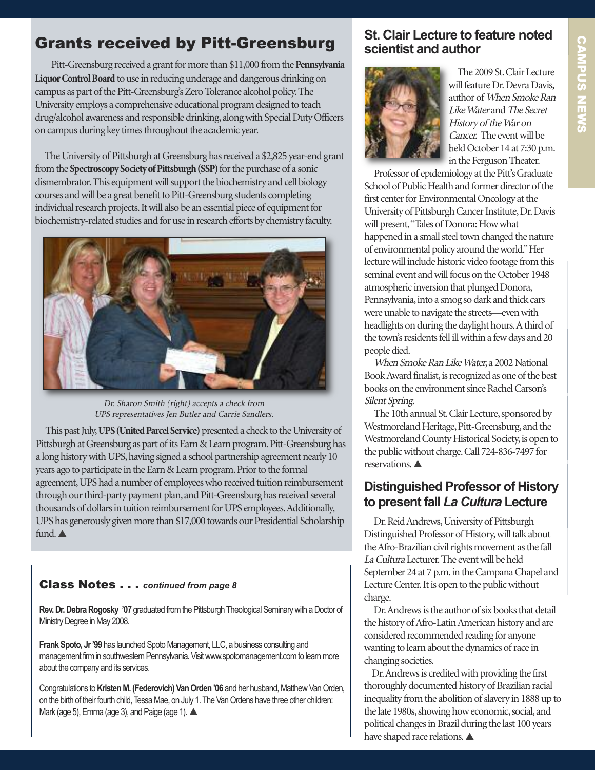# Grants received by Pitt-Greensburg

Pitt-Greensburg received a grant for more than \$11,000 from the Pennsylvania Liquor Control Board to use in reducing underage and dangerous drinking on campus as part of the Pitt-Greensburg's Zero Tolerance alcohol policy. The University employs a comprehensive educational program designed to teach drug/alcohol awareness and responsible drinking, along with Special Duty Officers on campus during key times throughout the academic year.

The University of Pittsburgh at Greensburg has received a \$2,825 year-end grant from the **Spectroscopy Society of Pittsburgh (SSP)** for the purchase of a sonic dismembrator. This equipment will support the biochemistry and cell biology courses and will be a great benefit to Pitt-Greensburg students completing individual research projects. It will also be an essential piece of equipment for biochemistry-related studies and for use in research efforts by chemistry faculty.



Dr. Sharon Smith (right) accepts <sup>a</sup> check from UPS representatives Jen Butler and Carrie Sandlers.

This past July, **UPS (United Parcel Service)** presented a check to the University of Pittsburgh at Greensburg as part of its Earn & Learn program. Pitt-Greensburg has a long history with UPS, having signed a school partnership agreement nearly 10 years ago to participate in the Earn & Learn program. Prior to the formal agreement, UPS had a number of employees who received tuition reimbursement through our third-party payment plan, and Pitt-Greensburg has received several thousands of dollars in tuition reimbursement for UPS employees. Additionally, UPS has generously given more than \$17,000 towards our Presidential Scholarship fund. $\blacktriangle$ 

# Class Notes . . . *continued from page 8*

Rev. Dr. Debra Rogosky '07 graduated from the Pittsburgh Theological Seminary with a Doctor of Ministry Degree in May 2008.

Frank Spoto, Jr '99 has launched Spoto Management, LLC, a business consulting and management firm in southwestern Pennsylvania. Visit www.spotomanagement.com to learn more about the company and its services.

Congratulations to Kristen M. (Federovich) Van Orden '06 and her husband, Matthew Van Orden, on the birth of their fourth child, Tessa Mae, on July 1. The Van Ordens have three other children: Mark (age 5), Emma (age 3), and Paige (age 1).

# **St. Clair Lecture to feature noted scientist and author**



The 2009 St. Clair Lecture will feature Dr. Devra Davis, author of When Smoke Ran Like Water and The Secret History of the War on Cancer. The event will be held October 14 at 7:30 p.m. in the Ferguson Theater.

Professor of epidemiology at the Pitt's Graduate School of Public Health and former director of the first center for Environmental Oncology at the University of Pittsburgh Cancer Institute, Dr. Davis will present, "Tales of Donora: How what happened in a small steel town changed the nature of environmental policy around the world." Her lecture will include historic video footage from this seminal event and will focus on the October 1948 atmospheric inversion that plunged Donora, Pennsylvania, into a smog so dark and thick cars were unable to navigate the streets—even with headlights on during the daylight hours. A third of the town's residents fell ill within a few days and 20 people died.

When Smoke Ran Like Water, a 2002 National Book Award finalist, is recognized as one of the best books on the environment since Rachel Carson's Silent Spring.

The 10th annual St. Clair Lecture, sponsored by Westmoreland Heritage, Pitt-Greensburg, and the Westmoreland County Historical Society, is open to the public without charge. Call 724-836-7497 for reservations.

# **Distinguished Professor of History to present fall** *La Cultura* **Lecture**

Dr.ReidAndrews,University of Pittsburgh Distinguished Professor of History, will talk about the Afro-Brazilian civil rights movement as the fall La Cultura Lecturer. The event will be held September 24 at 7 p.m. in the Campana Chapel and Lecture Center. It is open to the public without charge.

Dr. Andrews is the author of six books that detail the history of Afro-Latin American history and are considered recommended reading for anyone wanting to learn about the dynamics of race in changing societies.

Dr. Andrews is credited with providing the first thoroughly documented history of Brazilian racial inequality from the abolition of slavery in 1888 up to the late 1980s, showing how economic, social, and political changes in Brazil during the last 100 years have shaped race relations.  $\blacktriangle$